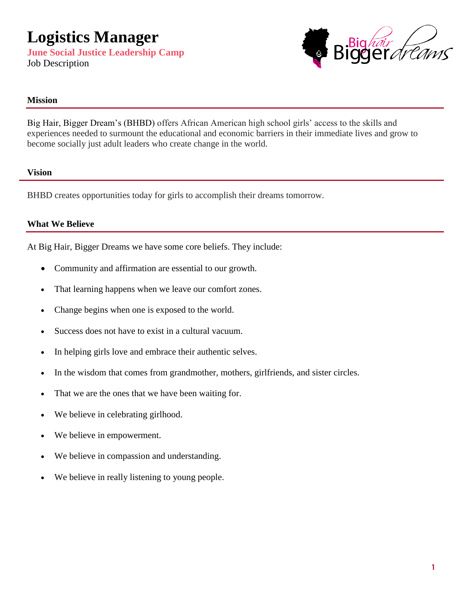

#### **Mission**

Big Hair, Bigger Dream's (BHBD) offers African American high school girls' access to the skills and experiences needed to surmount the educational and economic barriers in their immediate lives and grow to become socially just adult leaders who create change in the world.

#### **Vision**

BHBD creates opportunities today for girls to accomplish their dreams tomorrow.

#### **What We Believe**

At Big Hair, Bigger Dreams we have some core beliefs. They include:

- Community and affirmation are essential to our growth.
- That learning happens when we leave our comfort zones.
- Change begins when one is exposed to the world.
- Success does not have to exist in a cultural vacuum.
- In helping girls love and embrace their authentic selves.
- In the wisdom that comes from grandmother, mothers, girlfriends, and sister circles.
- That we are the ones that we have been waiting for.
- We believe in celebrating girlhood.
- We believe in empowerment.
- We believe in compassion and understanding.
- We believe in really listening to young people.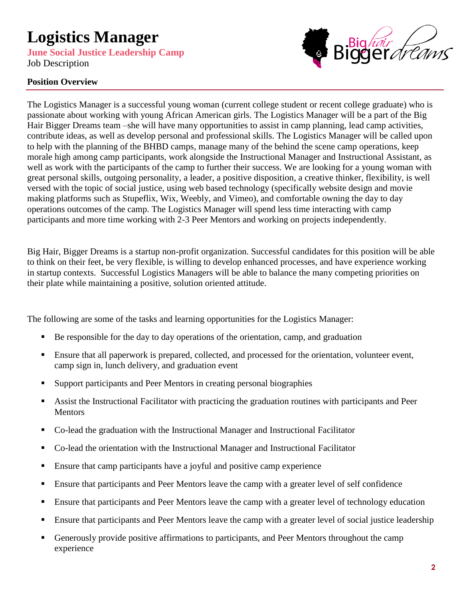**June Social Justice Leadership Camp** Job Description

# ig*háir*<br>JOET *d'é Arns*

#### **Position Overview**

The Logistics Manager is a successful young woman (current college student or recent college graduate) who is passionate about working with young African American girls. The Logistics Manager will be a part of the Big Hair Bigger Dreams team –she will have many opportunities to assist in camp planning, lead camp activities, contribute ideas, as well as develop personal and professional skills. The Logistics Manager will be called upon to help with the planning of the BHBD camps, manage many of the behind the scene camp operations, keep morale high among camp participants, work alongside the Instructional Manager and Instructional Assistant, as well as work with the participants of the camp to further their success. We are looking for a young woman with great personal skills, outgoing personality, a leader, a positive disposition, a creative thinker, flexibility, is well versed with the topic of social justice, using web based technology (specifically website design and movie making platforms such as Stupeflix, Wix, Weebly, and Vimeo), and comfortable owning the day to day operations outcomes of the camp. The Logistics Manager will spend less time interacting with camp participants and more time working with 2-3 Peer Mentors and working on projects independently.

Big Hair, Bigger Dreams is a startup non-profit organization. Successful candidates for this position will be able to think on their feet, be very flexible, is willing to develop enhanced processes, and have experience working in startup contexts. Successful Logistics Managers will be able to balance the many competing priorities on their plate while maintaining a positive, solution oriented attitude.

The following are some of the tasks and learning opportunities for the Logistics Manager:

- Be responsible for the day to day operations of the orientation, camp, and graduation
- Ensure that all paperwork is prepared, collected, and processed for the orientation, volunteer event, camp sign in, lunch delivery, and graduation event
- Support participants and Peer Mentors in creating personal biographies
- Assist the Instructional Facilitator with practicing the graduation routines with participants and Peer Mentors
- Co-lead the graduation with the Instructional Manager and Instructional Facilitator
- Co-lead the orientation with the Instructional Manager and Instructional Facilitator
- Ensure that camp participants have a joyful and positive camp experience
- Ensure that participants and Peer Mentors leave the camp with a greater level of self confidence
- **Ensure that participants and Peer Mentors leave the camp with a greater level of technology education**
- Ensure that participants and Peer Mentors leave the camp with a greater level of social justice leadership
- Generously provide positive affirmations to participants, and Peer Mentors throughout the camp experience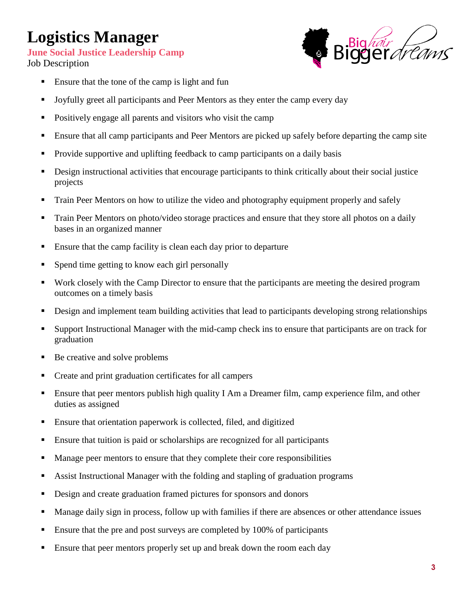**June Social Justice Leadership Camp**

Job Description



- Ensure that the tone of the camp is light and fun
- I Joyfully greet all participants and Peer Mentors as they enter the camp every day
- Positively engage all parents and visitors who visit the camp
- Ensure that all camp participants and Peer Mentors are picked up safely before departing the camp site
- Provide supportive and uplifting feedback to camp participants on a daily basis
- **Design instructional activities that encourage participants to think critically about their social justice** projects
- **Train Peer Mentors on how to utilize the video and photography equipment properly and safely**
- Train Peer Mentors on photo/video storage practices and ensure that they store all photos on a daily bases in an organized manner
- Ensure that the camp facility is clean each day prior to departure
- Spend time getting to know each girl personally
- Work closely with the Camp Director to ensure that the participants are meeting the desired program outcomes on a timely basis
- **•** Design and implement team building activities that lead to participants developing strong relationships
- Support Instructional Manager with the mid-camp check ins to ensure that participants are on track for graduation
- Be creative and solve problems
- Create and print graduation certificates for all campers
- Ensure that peer mentors publish high quality I Am a Dreamer film, camp experience film, and other duties as assigned
- Ensure that orientation paperwork is collected, filed, and digitized
- Ensure that tuition is paid or scholarships are recognized for all participants
- **Manage peer mentors to ensure that they complete their core responsibilities**
- Assist Instructional Manager with the folding and stapling of graduation programs
- Design and create graduation framed pictures for sponsors and donors
- Manage daily sign in process, follow up with families if there are absences or other attendance issues
- **Ensure that the pre and post surveys are completed by 100% of participants**
- **Ensure that peer mentors properly set up and break down the room each day**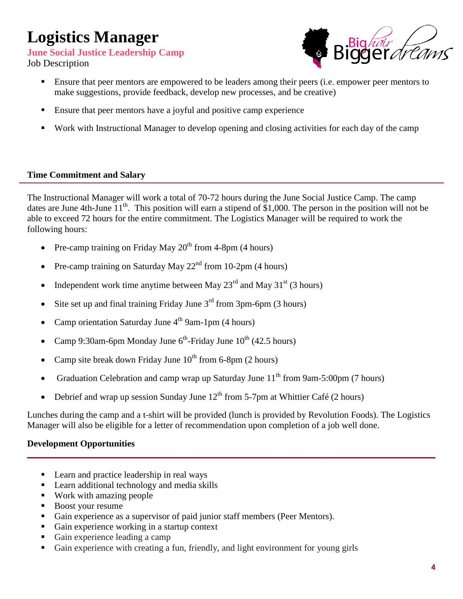**June Social Justice Leadership Camp**

Job Description



- Ensure that peer mentors are empowered to be leaders among their peers (i.e. empower peer mentors to make suggestions, provide feedback, develop new processes, and be creative)
- Ensure that peer mentors have a joyful and positive camp experience
- Work with Instructional Manager to develop opening and closing activities for each day of the camp

## **Time Commitment and Salary**

The Instructional Manager will work a total of 70-72 hours during the June Social Justice Camp. The camp dates are June 4th-June 11<sup>th</sup>. This position will earn a stipend of \$1,000. The person in the position will not be able to exceed 72 hours for the entire commitment. The Logistics Manager will be required to work the following hours:

- Pre-camp training on Friday May  $20^{th}$  from 4-8pm (4 hours)
- Pre-camp training on Saturday May  $22<sup>nd</sup>$  from 10-2pm (4 hours)
- Independent work time anytime between May  $23<sup>rd</sup>$  and May  $31<sup>st</sup>$  (3 hours)
- Site set up and final training Friday June  $3<sup>rd</sup>$  from 3pm-6pm (3 hours)
- Camp orientation Saturday June  $4^{th}$  9am-1pm (4 hours)
- Camp 9:30am-6pm Monday June  $6^{th}$ -Friday June  $10^{th}$  (42.5 hours)
- Camp site break down Friday June  $10^{th}$  from 6-8pm (2 hours)
- Graduation Celebration and camp wrap up Saturday June  $11<sup>th</sup>$  from 9am-5:00pm (7 hours)
- Debrief and wrap up session Sunday June  $12<sup>th</sup>$  from 5-7pm at Whittier Café (2 hours)

Lunches during the camp and a t-shirt will be provided (lunch is provided by Revolution Foods). The Logistics Manager will also be eligible for a letter of recommendation upon completion of a job well done.

\_\_\_\_\_\_\_\_\_\_\_\_\_\_\_\_\_\_\_\_\_\_\_\_\_\_\_\_\_\_\_\_\_\_\_\_\_\_\_\_\_\_\_\_\_\_\_\_\_\_\_\_\_\_\_\_\_\_\_\_\_\_\_\_\_\_\_\_\_\_\_\_\_\_\_\_\_\_\_\_\_\_\_\_\_\_\_\_\_\_

## **Development Opportunities**

- Learn and practice leadership in real ways
- **Learn additional technology and media skills**
- Work with amazing people
- Boost your resume
- Gain experience as a supervisor of paid junior staff members (Peer Mentors).
- Gain experience working in a startup context
- Gain experience leading a camp
- Gain experience with creating a fun, friendly, and light environment for young girls